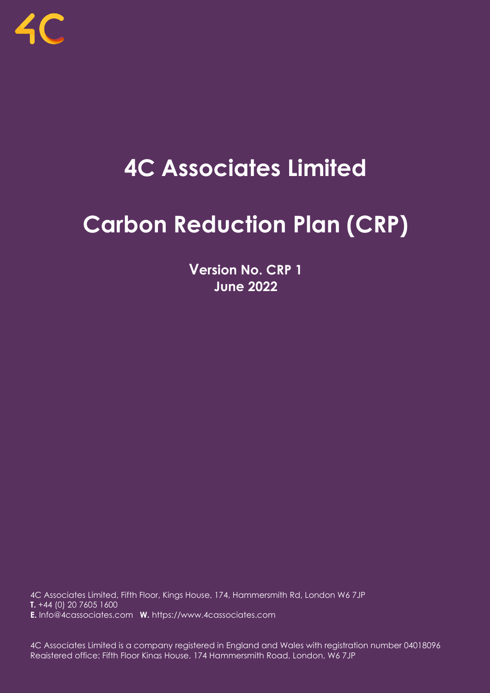

# **4C Associates Limited**

# **Carbon Reduction Plan (CRP)**

**Version No. CRP 1 June 2022**

4C Associates Limited, Fifth Floor, Kings House, 174, Hammersmith Rd, London W6 7JP T. +44 (0) 20 7605 1600 **E.** Info@4cassociates.com **W.** https://www.4cassociates.com

4C Associates Limited is a company registered in England and Wales with registration number 04018096 Registered office: Fifth Floor Kings House, 174 Hammersmith Road, London, W6 7JP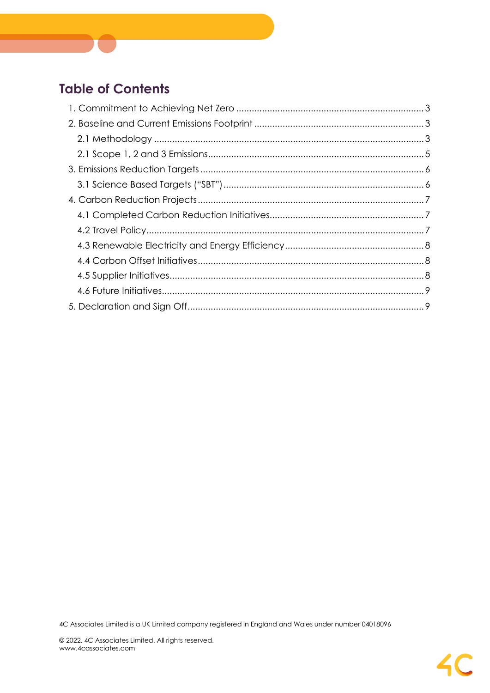# **Table of Contents**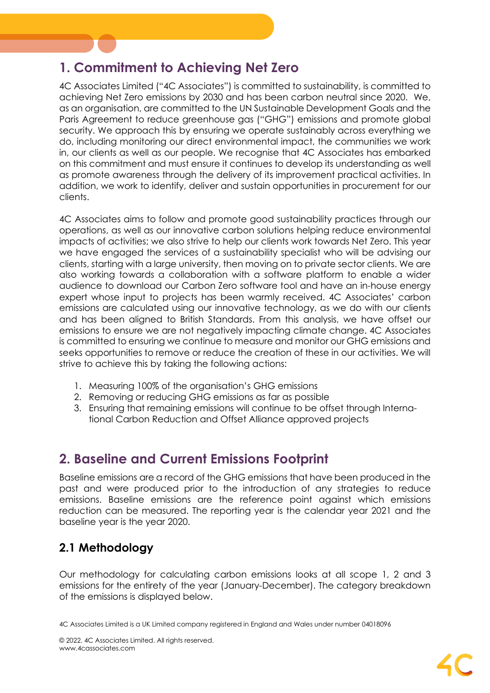# <span id="page-2-0"></span>**1. Commitment to Achieving Net Zero**

4C Associates Limited ("4C Associates") is committed to sustainability, is committed to achieving Net Zero emissions by 2030 and has been carbon neutral since 2020. We, as an organisation, are committed to the UN Sustainable Development Goals and the Paris Agreement to reduce greenhouse gas ("GHG") emissions and promote global security. We approach this by ensuring we operate sustainably across everything we do, including monitoring our direct environmental impact, the communities we work in, our clients as well as our people. We recognise that 4C Associates has embarked on this commitment and must ensure it continues to develop its understanding as well as promote awareness through the delivery of its improvement practical activities. In addition, we work to identify, deliver and sustain opportunities in procurement for our clients.

4C Associates aims to follow and promote good sustainability practices through our operations, as well as our innovative carbon solutions helping reduce environmental impacts of activities; we also strive to help our clients work towards Net Zero. This year we have engaged the services of a sustainability specialist who will be advising our clients, starting with a large university, then moving on to private sector clients. We are also working towards a collaboration with a software platform to enable a wider audience to download our Carbon Zero software tool and have an in-house energy expert whose input to projects has been warmly received. 4C Associates' carbon emissions are calculated using our innovative technology, as we do with our clients and has been aligned to British Standards. From this analysis, we have offset our emissions to ensure we are not negatively impacting climate change. 4C Associates is committed to ensuring we continue to measure and monitor our GHG emissions and seeks opportunities to remove or reduce the creation of these in our activities. We will strive to achieve this by taking the following actions:

- 1. Measuring 100% of the organisation's GHG emissions
- 2. Removing or reducing GHG emissions as far as possible
- 3. Ensuring that remaining emissions will continue to be offset through International Carbon Reduction and Offset Alliance approved projects

# <span id="page-2-1"></span>**2. Baseline and Current Emissions Footprint**

Baseline emissions are a record of the GHG emissions that have been produced in the past and were produced prior to the introduction of any strategies to reduce emissions. Baseline emissions are the reference point against which emissions reduction can be measured. The reporting year is the calendar year 2021 and the baseline year is the year 2020.

# <span id="page-2-2"></span>**2.1 Methodology**

Our methodology for calculating carbon emissions looks at all scope 1, 2 and 3 emissions for the entirety of the year (January-December). The category breakdown of the emissions is displayed below.

<sup>4</sup>C Associates Limited is a UK Limited company registered in England and Wales under number 04018096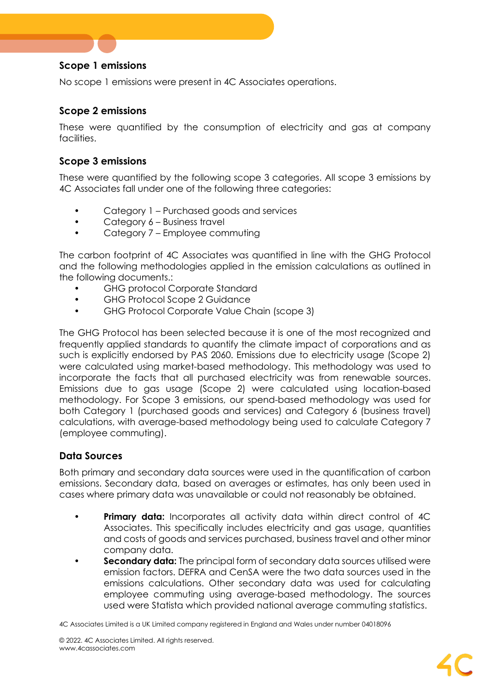#### **Scope 1 emissions**

No scope 1 emissions were present in 4C Associates operations.

#### **Scope 2 emissions**

These were quantified by the consumption of electricity and gas at company facilities.

#### **Scope 3 emissions**

These were quantified by the following scope 3 categories. All scope 3 emissions by 4C Associates fall under one of the following three categories:

- Category 1 Purchased goods and services
- Category 6 Business travel
- Category 7 Employee commuting

The carbon footprint of 4C Associates was quantified in line with the GHG Protocol and the following methodologies applied in the emission calculations as outlined in the following documents.:

- GHG protocol Corporate Standard
- GHG Protocol Scope 2 Guidance
- GHG Protocol Corporate Value Chain (scope 3)

The GHG Protocol has been selected because it is one of the most recognized and frequently applied standards to quantify the climate impact of corporations and as such is explicitly endorsed by PAS 2060. Emissions due to electricity usage (Scope 2) were calculated using market-based methodology. This methodology was used to incorporate the facts that all purchased electricity was from renewable sources. Emissions due to gas usage (Scope 2) were calculated using location-based methodology. For Scope 3 emissions, our spend-based methodology was used for both Category 1 (purchased goods and services) and Category 6 (business travel) calculations, with average-based methodology being used to calculate Category 7 (employee commuting).

#### **Data Sources**

Both primary and secondary data sources were used in the quantification of carbon emissions. Secondary data, based on averages or estimates, has only been used in cases where primary data was unavailable or could not reasonably be obtained.

- **Primary data:** Incorporates all activity data within direct control of 4C Associates. This specifically includes electricity and gas usage, quantities and costs of goods and services purchased, business travel and other minor company data.
- **Secondary data:** The principal form of secondary data sources utilised were emission factors. DEFRA and CenSA were the two data sources used in the emissions calculations. Other secondary data was used for calculating employee commuting using average-based methodology. The sources used were Statista which provided national average commuting statistics.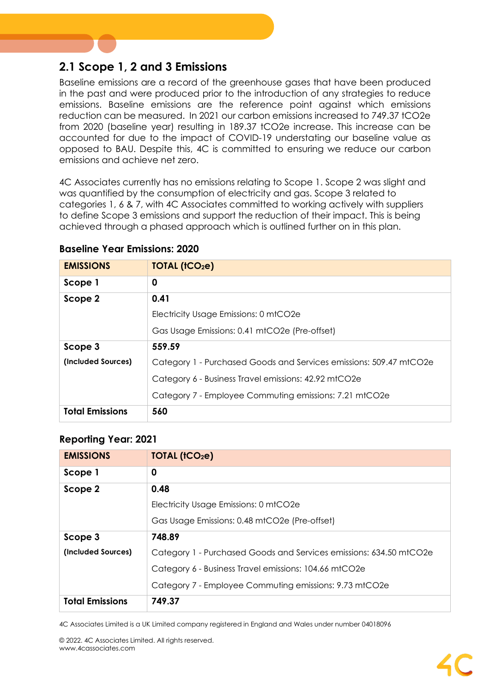## <span id="page-4-0"></span>**2.1 Scope 1, 2 and 3 Emissions**

Baseline emissions are a record of the greenhouse gases that have been produced in the past and were produced prior to the introduction of any strategies to reduce emissions. Baseline emissions are the reference point against which emissions reduction can be measured. In 2021 our carbon emissions increased to 749.37 tCO2e from 2020 (baseline year) resulting in 189.37 tCO2e increase. This increase can be accounted for due to the impact of COVID-19 understating our baseline value as opposed to BAU. Despite this, 4C is committed to ensuring we reduce our carbon emissions and achieve net zero.

4C Associates currently has no emissions relating to Scope 1. Scope 2 was slight and was quantified by the consumption of electricity and gas. Scope 3 related to categories 1, 6 & 7, with 4C Associates committed to working actively with suppliers to define Scope 3 emissions and support the reduction of their impact. This is being achieved through a phased approach which is outlined further on in this plan.

| <b>EMISSIONS</b>       | TOTAL (tCO2e)                                                      |
|------------------------|--------------------------------------------------------------------|
| Scope 1                | 0                                                                  |
| Scope 2                | 0.41                                                               |
|                        | Electricity Usage Emissions: 0 mtCO2e                              |
|                        | Gas Usage Emissions: 0.41 mtCO2e (Pre-offset)                      |
| Scope 3                | 559.59                                                             |
| (Included Sources)     | Category 1 - Purchased Goods and Services emissions: 509.47 mtCO2e |
|                        | Category 6 - Business Travel emissions: 42.92 mtCO2e               |
|                        | Category 7 - Employee Commuting emissions: 7.21 mtCO2e             |
| <b>Total Emissions</b> | 560                                                                |

#### **Baseline Year Emissions: 2020**

#### **Reporting Year: 2021**

| <b>EMISSIONS</b>       | TOIAL (tCO <sub>2</sub> e)                                         |
|------------------------|--------------------------------------------------------------------|
| Scope 1                | 0                                                                  |
| Scope 2                | 0.48                                                               |
|                        | Electricity Usage Emissions: 0 mtCO2e                              |
|                        | Gas Usage Emissions: 0.48 mtCO2e (Pre-offset)                      |
| Scope 3                | 748.89                                                             |
| (Included Sources)     | Category 1 - Purchased Goods and Services emissions: 634.50 mtCO2e |
|                        | Category 6 - Business Travel emissions: 104.66 mtCO2e              |
|                        | Category 7 - Employee Commuting emissions: 9.73 mtCO2e             |
| <b>Total Emissions</b> | 749.37                                                             |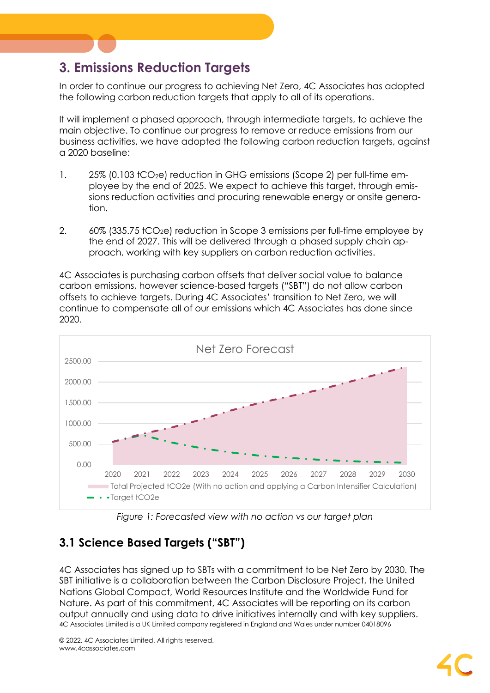# <span id="page-5-0"></span>**3. Emissions Reduction Targets**

In order to continue our progress to achieving Net Zero, 4C Associates has adopted the following carbon reduction targets that apply to all of its operations.

It will implement a phased approach, through intermediate targets, to achieve the main objective. To continue our progress to remove or reduce emissions from our business activities, we have adopted the following carbon reduction targets, against a 2020 baseline:

- 1. 25% (0.103 tCO<sub>2</sub>e) reduction in GHG emissions (Scope 2) per full-time employee by the end of 2025. We expect to achieve this target, through emissions reduction activities and procuring renewable energy or onsite generation.
- 2.  $60\%$  (335.75 tCO<sub>2</sub>e) reduction in Scope 3 emissions per full-time employee by the end of 2027. This will be delivered through a phased supply chain approach, working with key suppliers on carbon reduction activities.

4C Associates is purchasing carbon offsets that deliver social value to balance carbon emissions, however science-based targets ("SBT") do not allow carbon offsets to achieve targets. During 4C Associates' transition to Net Zero, we will continue to compensate all of our emissions which 4C Associates has done since 2020.



*Figure 1: Forecasted view with no action vs our target plan*

# <span id="page-5-1"></span>**3.1 Science Based Targets ("SBT")**

4C Associates Limited is a UK Limited company registered in England and Wales under number 04018096 4C Associates has signed up to SBTs with a commitment to be Net Zero by 2030. The SBT initiative is a collaboration between the Carbon Disclosure Project, the United Nations Global Compact, World Resources Institute and the Worldwide Fund for Nature. As part of this commitment, 4C Associates will be reporting on its carbon output annually and using data to drive initiatives internally and with key suppliers.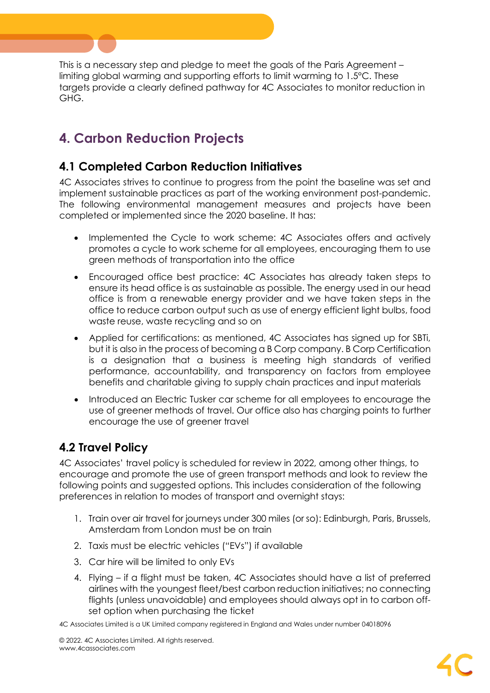This is a necessary step and pledge to meet the goals of the Paris Agreement – limiting global warming and supporting efforts to limit warming to 1.5°C. These targets provide a clearly defined pathway for 4C Associates to monitor reduction in GHG.

# <span id="page-6-0"></span>**4. Carbon Reduction Projects**

## <span id="page-6-1"></span>**4.1 Completed Carbon Reduction Initiatives**

4C Associates strives to continue to progress from the point the baseline was set and implement sustainable practices as part of the working environment post-pandemic. The following environmental management measures and projects have been completed or implemented since the 2020 baseline. It has:

- Implemented the Cycle to work scheme: 4C Associates offers and actively promotes a cycle to work scheme for all employees, encouraging them to use green methods of transportation into the office
- Encouraged office best practice: 4C Associates has already taken steps to ensure its head office is as sustainable as possible. The energy used in our head office is from a renewable energy provider and we have taken steps in the office to reduce carbon output such as use of energy efficient light bulbs, food waste reuse, waste recycling and so on
- Applied for certifications: as mentioned, 4C Associates has signed up for SBTi, but it is also in the process of becoming a B Corp company. B Corp Certification is a designation that a business is meeting high standards of verified performance, accountability, and transparency on factors from employee benefits and charitable giving to supply chain practices and input materials
- Introduced an Electric Tusker car scheme for all employees to encourage the use of greener methods of travel. Our office also has charging points to further encourage the use of greener travel

## <span id="page-6-2"></span>**4.2 Travel Policy**

4C Associates' travel policy is scheduled for review in 2022, among other things, to encourage and promote the use of green transport methods and look to review the following points and suggested options. This includes consideration of the following preferences in relation to modes of transport and overnight stays:

- 1. Train over air travel for journeys under 300 miles (or so): Edinburgh, Paris, Brussels, Amsterdam from London must be on train
- 2. Taxis must be electric vehicles ("EVs") if available
- 3. Car hire will be limited to only EVs
- 4. Flying if a flight must be taken, 4C Associates should have a list of preferred airlines with the youngest fleet/best carbon reduction initiatives; no connecting flights (unless unavoidable) and employees should always opt in to carbon offset option when purchasing the ticket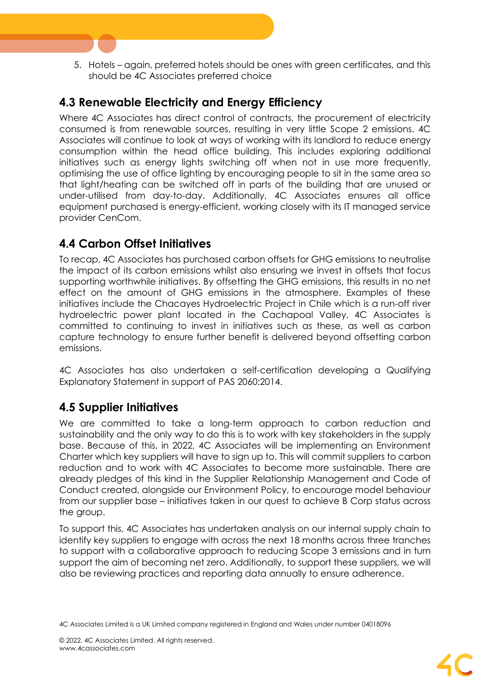5. Hotels – again, preferred hotels should be ones with green certificates, and this should be 4C Associates preferred choice

## <span id="page-7-0"></span>**4.3 Renewable Electricity and Energy Efficiency**

Where 4C Associates has direct control of contracts, the procurement of electricity consumed is from renewable sources, resulting in very little Scope 2 emissions. 4C Associates will continue to look at ways of working with its landlord to reduce energy consumption within the head office building. This includes exploring additional initiatives such as energy lights switching off when not in use more frequently, optimising the use of office lighting by encouraging people to sit in the same area so that light/heating can be switched off in parts of the building that are unused or under-utilised from day-to-day. Additionally, 4C Associates ensures all office equipment purchased is energy-efficient, working closely with its IT managed service provider CenCom.

## <span id="page-7-1"></span>**4.4 Carbon Offset Initiatives**

To recap, 4C Associates has purchased carbon offsets for GHG emissions to neutralise the impact of its carbon emissions whilst also ensuring we invest in offsets that focus supporting worthwhile initiatives. By offsetting the GHG emissions, this results in no net effect on the amount of GHG emissions in the atmosphere. Examples of these initiatives include the Chacayes Hydroelectric Project in Chile which is a run-off river hydroelectric power plant located in the Cachapoal Valley. 4C Associates is committed to continuing to invest in initiatives such as these, as well as carbon capture technology to ensure further benefit is delivered beyond offsetting carbon emissions.

4C Associates has also undertaken a self-certification developing a Qualifying Explanatory Statement in support of PAS 2060:2014.

### <span id="page-7-2"></span>**4.5 Supplier Initiatives**

We are committed to take a long-term approach to carbon reduction and sustainability and the only way to do this is to work with key stakeholders in the supply base. Because of this, in 2022, 4C Associates will be implementing an Environment Charter which key suppliers will have to sign up to. This will commit suppliers to carbon reduction and to work with 4C Associates to become more sustainable. There are already pledges of this kind in the Supplier Relationship Management and Code of Conduct created, alongside our Environment Policy, to encourage model behaviour from our supplier base – initiatives taken in our quest to achieve B Corp status across the group.

To support this, 4C Associates has undertaken analysis on our internal supply chain to identify key suppliers to engage with across the next 18 months across three tranches to support with a collaborative approach to reducing Scope 3 emissions and in turn support the aim of becoming net zero. Additionally, to support these suppliers, we will also be reviewing practices and reporting data annually to ensure adherence.

<sup>4</sup>C Associates Limited is a UK Limited company registered in England and Wales under number 04018096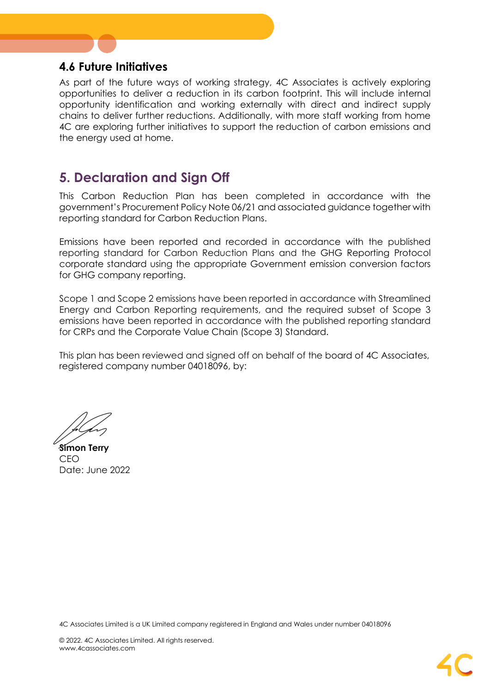### <span id="page-8-0"></span>**4.6 Future Initiatives**

As part of the future ways of working strategy, 4C Associates is actively exploring opportunities to deliver a reduction in its carbon footprint. This will include internal opportunity identification and working externally with direct and indirect supply chains to deliver further reductions. Additionally, with more staff working from home 4C are exploring further initiatives to support the reduction of carbon emissions and the energy used at home.

# <span id="page-8-1"></span>**5. Declaration and Sign Off**

This Carbon Reduction Plan has been completed in accordance with the government's Procurement Policy Note 06/21 and associated guidance together with reporting standard for Carbon Reduction Plans.

Emissions have been reported and recorded in accordance with the published reporting standard for Carbon Reduction Plans and the GHG Reporting Protocol corporate standard using the appropriate [Government emission conversion factors](https://www.gov.uk/government/collections/government-conversion-factors-for-company-reporting)  for GHG [company reporting.](https://www.gov.uk/government/collections/government-conversion-factors-for-company-reporting)

Scope 1 and Scope 2 emissions have been reported in accordance with Streamlined Energy and Carbon Reporting requirements, and the required subset of Scope 3 emissions have been reported in accordance with the published reporting standard for CRPs and the Corporate Value Chain (Scope 3) Standard.

This plan has been reviewed and signed off on behalf of the board of 4C Associates, registered company number 04018096, by:

**Simon Terry** CEO Date: June 2022